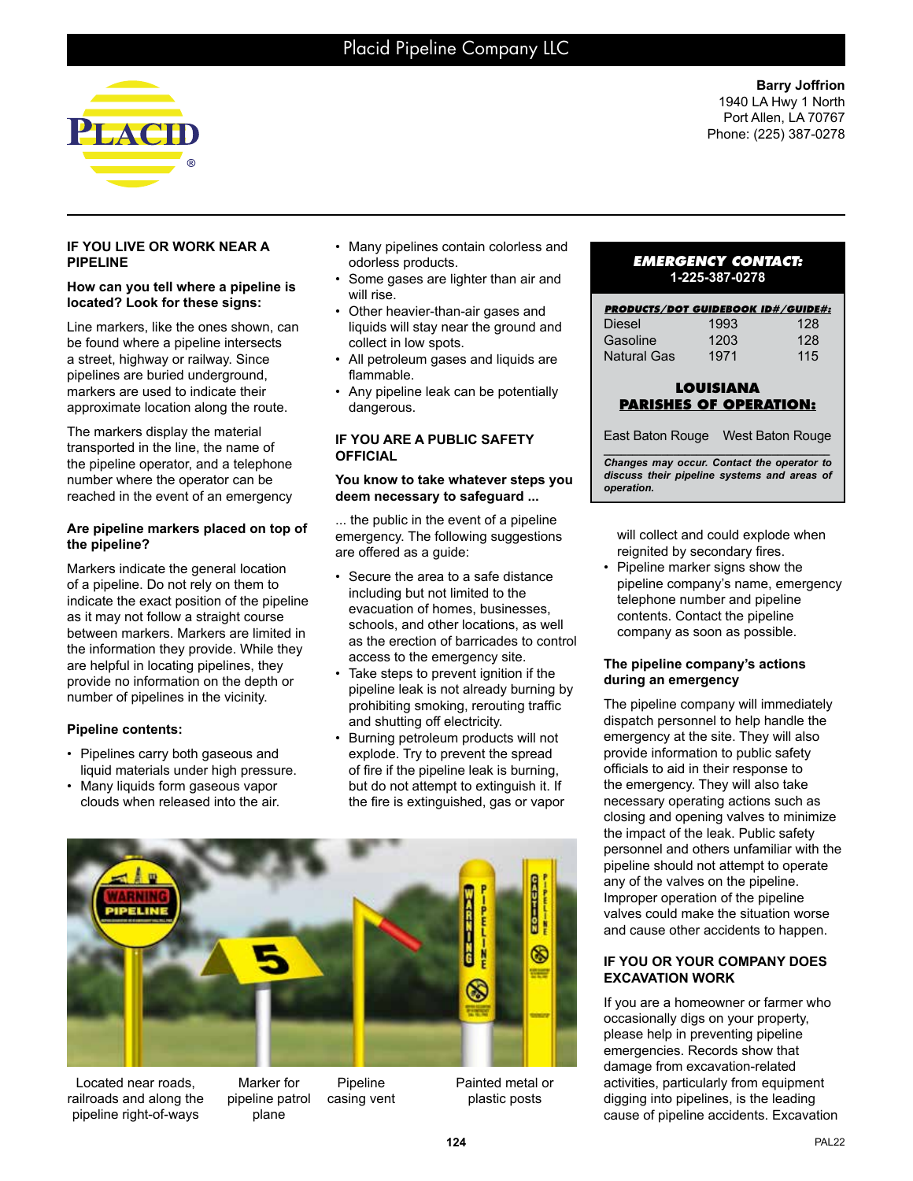

**Barry Joffrion** 1940 LA Hwy 1 North Port Allen, LA 70767 Phone: (225) 387-0278

## **IF YOU LIVE OR WORK NEAR A PIPELINE**

#### **How can you tell where a pipeline is located? Look for these signs:**

Line markers, like the ones shown, can be found where a pipeline intersects a street, highway or railway. Since pipelines are buried underground, markers are used to indicate their approximate location along the route.

The markers display the material transported in the line, the name of the pipeline operator, and a telephone number where the operator can be reached in the event of an emergency

## **Are pipeline markers placed on top of the pipeline?**

Markers indicate the general location of a pipeline. Do not rely on them to indicate the exact position of the pipeline as it may not follow a straight course between markers. Markers are limited in the information they provide. While they are helpful in locating pipelines, they provide no information on the depth or number of pipelines in the vicinity.

# **Pipeline contents:**

- Pipelines carry both gaseous and liquid materials under high pressure.
- Many liquids form gaseous vapor clouds when released into the air.
- Many pipelines contain colorless and odorless products.
- Some gases are lighter than air and will rise.
- Other heavier-than-air gases and liquids will stay near the ground and collect in low spots.
- All petroleum gases and liquids are flammable.
- Any pipeline leak can be potentially dangerous.

#### **IF YOU ARE A PUBLIC SAFETY OFFICIAL**

#### **You know to take whatever steps you deem necessary to safeguard ...**

... the public in the event of a pipeline emergency. The following suggestions are offered as a guide:

- Secure the area to a safe distance including but not limited to the evacuation of homes, businesses, schools, and other locations, as well as the erection of barricades to control access to the emergency site.
- Take steps to prevent ignition if the pipeline leak is not already burning by prohibiting smoking, rerouting traffic and shutting off electricity.
- Burning petroleum products will not explode. Try to prevent the spread of fire if the pipeline leak is burning, but do not attempt to extinguish it. If the fire is extinguished, gas or vapor



Located near roads, railroads and along the pipeline right-of-ways

Marker for pipeline patrol plane Pipeline casing vent Painted metal or plastic posts

## *EMERGENCY CONTACT:* **1-225-387-0278**

| <b>PRODUCTS/DOT GUIDEBOOK ID#/GUIDE#:</b> |      |     |
|-------------------------------------------|------|-----|
| <b>Diesel</b>                             | 1993 | 128 |
| Gasoline                                  | 1203 | 128 |
| <b>Natural Gas</b>                        | 1971 | 115 |

## **LOUISIANA PARISHES OF OPERATION:**

East Baton Rouge West Baton Rouge

*\_\_\_\_\_\_\_\_\_\_\_\_\_\_\_\_\_\_\_\_\_\_\_\_\_\_\_\_\_\_\_\_\_\_\_\_\_\_\_ Changes may occur. Contact the operator to discuss their pipeline systems and areas of operation.*

will collect and could explode when reignited by secondary fires.

• Pipeline marker signs show the pipeline company's name, emergency telephone number and pipeline contents. Contact the pipeline company as soon as possible.

## **The pipeline company's actions during an emergency**

The pipeline company will immediately dispatch personnel to help handle the emergency at the site. They will also provide information to public safety officials to aid in their response to the emergency. They will also take necessary operating actions such as closing and opening valves to minimize the impact of the leak. Public safety personnel and others unfamiliar with the pipeline should not attempt to operate any of the valves on the pipeline. Improper operation of the pipeline valves could make the situation worse and cause other accidents to happen.

## **IF YOU OR YOUR COMPANY DOES EXCAVATION WORK**

If you are a homeowner or farmer who occasionally digs on your property, please help in preventing pipeline emergencies. Records show that damage from excavation-related activities, particularly from equipment digging into pipelines, is the leading cause of pipeline accidents. Excavation